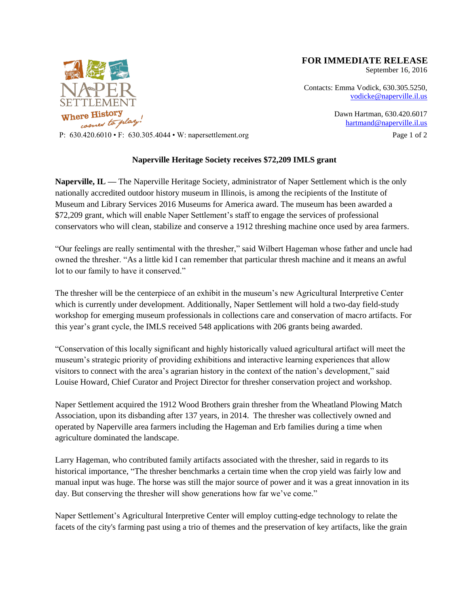

**FOR IMMEDIATE RELEASE**

September 16, 2016

Contacts: Emma Vodick, 630.305.5250, vodicke@naperville.il.us

> Dawn Hartman, 630.420.6017 [hartmand@naperville.il.us](mailto:hartmand@naperville.il.us)

P:  $630.420.6010 \cdot F$ :  $630.305.4044 \cdot W$ : napersettlement.org Page 1 of 2

## **Naperville Heritage Society receives \$72,209 IMLS grant**

**Naperville, IL —** The Naperville Heritage Society, administrator of Naper Settlement which is the only nationally accredited outdoor history museum in Illinois, is among the recipients of the Institute of Museum and Library Services 2016 Museums for America award. The museum has been awarded a \$72,209 grant, which will enable Naper Settlement's staff to engage the services of professional conservators who will clean, stabilize and conserve a 1912 threshing machine once used by area farmers.

"Our feelings are really sentimental with the thresher," said Wilbert Hageman whose father and uncle had owned the thresher. "As a little kid I can remember that particular thresh machine and it means an awful lot to our family to have it conserved."

The thresher will be the centerpiece of an exhibit in the museum's new Agricultural Interpretive Center which is currently under development. Additionally, Naper Settlement will hold a two-day field-study workshop for emerging museum professionals in collections care and conservation of macro artifacts. For this year's grant cycle, the IMLS received 548 applications with 206 grants being awarded.

"Conservation of this locally significant and highly historically valued agricultural artifact will meet the museum's strategic priority of providing exhibitions and interactive learning experiences that allow visitors to connect with the area's agrarian history in the context of the nation's development," said Louise Howard, Chief Curator and Project Director for thresher conservation project and workshop.

Naper Settlement acquired the 1912 Wood Brothers grain thresher from the Wheatland Plowing Match Association, upon its disbanding after 137 years, in 2014. The thresher was collectively owned and operated by Naperville area farmers including the Hageman and Erb families during a time when agriculture dominated the landscape.

Larry Hageman, who contributed family artifacts associated with the thresher, said in regards to its historical importance, "The thresher benchmarks a certain time when the crop yield was fairly low and manual input was huge. The horse was still the major source of power and it was a great innovation in its day. But conserving the thresher will show generations how far we've come."

Naper Settlement's Agricultural Interpretive Center will employ cutting-edge technology to relate the facets of the city's farming past using a trio of themes and the preservation of key artifacts, like the grain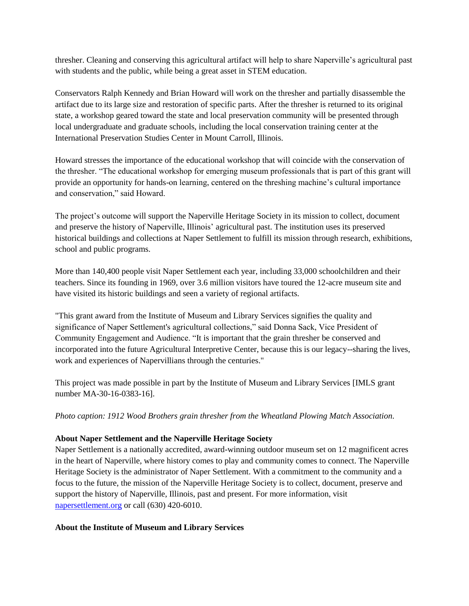thresher. Cleaning and conserving this agricultural artifact will help to share Naperville's agricultural past with students and the public, while being a great asset in STEM education.

Conservators Ralph Kennedy and Brian Howard will work on the thresher and partially disassemble the artifact due to its large size and restoration of specific parts. After the thresher is returned to its original state, a workshop geared toward the state and local preservation community will be presented through local undergraduate and graduate schools, including the local conservation training center at the International Preservation Studies Center in Mount Carroll, Illinois.

Howard stresses the importance of the educational workshop that will coincide with the conservation of the thresher. "The educational workshop for emerging museum professionals that is part of this grant will provide an opportunity for hands-on learning, centered on the threshing machine's cultural importance and conservation," said Howard.

The project's outcome will support the Naperville Heritage Society in its mission to collect, document and preserve the history of Naperville, Illinois' agricultural past. The institution uses its preserved historical buildings and collections at Naper Settlement to fulfill its mission through research, exhibitions, school and public programs.

More than 140,400 people visit Naper Settlement each year, including 33,000 schoolchildren and their teachers. Since its founding in 1969, over 3.6 million visitors have toured the 12-acre museum site and have visited its historic buildings and seen a variety of regional artifacts.

"This grant award from the Institute of Museum and Library Services signifies the quality and significance of Naper Settlement's agricultural collections," said Donna Sack, Vice President of Community Engagement and Audience. "It is important that the grain thresher be conserved and incorporated into the future Agricultural Interpretive Center, because this is our legacy--sharing the lives, work and experiences of Napervillians through the centuries."

This project was made possible in part by the Institute of Museum and Library Services [IMLS grant number MA-30-16-0383-16].

*Photo caption: 1912 Wood Brothers grain thresher from the Wheatland Plowing Match Association.*

## **About Naper Settlement and the Naperville Heritage Society**

Naper Settlement is a nationally accredited, award-winning outdoor museum set on 12 magnificent acres in the heart of Naperville, where history comes to play and community comes to connect. The Naperville Heritage Society is the administrator of Naper Settlement. With a commitment to the community and a focus to the future, the mission of the Naperville Heritage Society is to collect, document, preserve and support the history of Naperville, Illinois, past and present. For more information, visit [napersettlement.org](http://www.napersettlement.com/) or call (630) 420-6010.

## **About the Institute of Museum and Library Services**